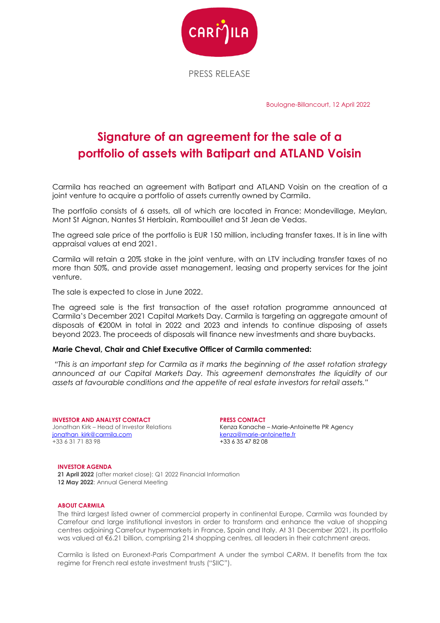

PRESS RELEASE

Boulogne-Billancourt, 12 April 2022

## **Signature of an agreement for the sale of a portfolio of assets with Batipart and ATLAND Voisin**

Carmila has reached an agreement with Batipart and ATLAND Voisin on the creation of a joint venture to acquire a portfolio of assets currently owned by Carmila.

The portfolio consists of 6 assets, all of which are located in France: Mondevillage, Meylan, Mont St Aignan, Nantes St Herblain, Rambouillet and St Jean de Vedas.

The agreed sale price of the portfolio is EUR 150 million, including transfer taxes. It is in line with appraisal values at end 2021.

Carmila will retain a 20% stake in the joint venture, with an LTV including transfer taxes of no more than 50%, and provide asset management, leasing and property services for the joint venture.

The sale is expected to close in June 2022.

The agreed sale is the first transaction of the asset rotation programme announced at Carmila's December 2021 Capital Markets Day. Carmila is targeting an aggregate amount of disposals of €200M in total in 2022 and 2023 and intends to continue disposing of assets beyond 2023. The proceeds of disposals will finance new investments and share buybacks.

## **Marie Cheval, Chair and Chief Executive Officer of Carmila commented:**

*"This is an important step for Carmila as it marks the beginning of the asset rotation strategy announced at our Capital Markets Day. This agreement demonstrates the liquidity of our assets at favourable conditions and the appetite of real estate investors for retail assets."*

**INVESTOR AND ANALYST CONTACT** Jonathan Kirk – Head of Investor Relations jonathan\_kirk@carmila.com +33 6 31 71 83 98

**PRESS CONTACT** Kenza Kanache – Marie-Antoinette PR Agency kenza@marie-antoinette.fr +33 6 35 47 82 08

## **INVESTOR AGENDA**

**21 April 2022** (after market close): Q1 2022 Financial Information **12 May 2022**: Annual General Meeting

## **ABOUT CARMILA**

The third largest listed owner of commercial property in continental Europe, Carmila was founded by Carrefour and large institutional investors in order to transform and enhance the value of shopping centres adjoining Carrefour hypermarkets in France, Spain and Italy. At 31 December 2021, its portfolio was valued at €6.21 billion, comprising 214 shopping centres, all leaders in their catchment areas.

Carmila is listed on Euronext-Paris Compartment A under the symbol CARM. It benefits from the tax regime for French real estate investment trusts ("SIIC").